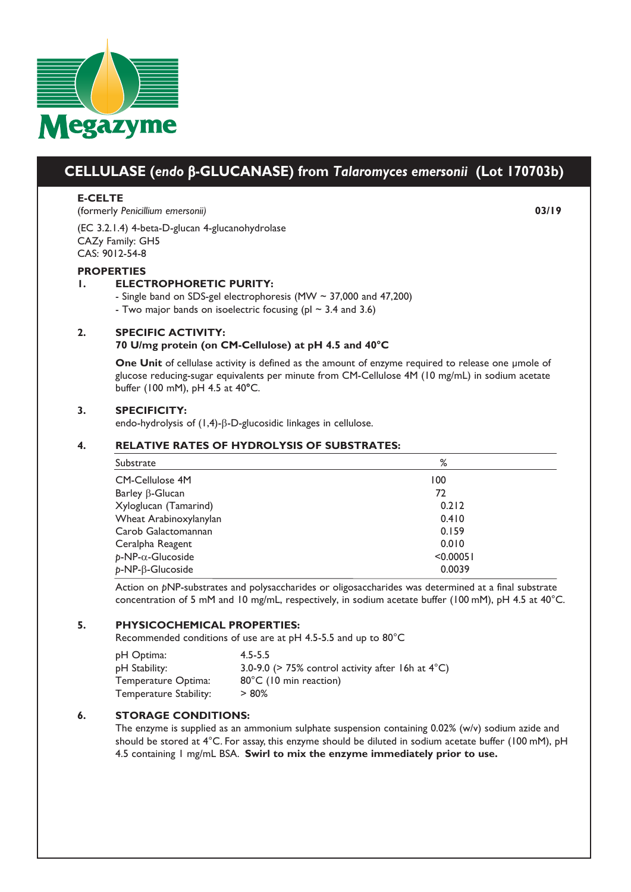

# **CELLULASE (***endo* b**-GLUCANASE) from** *Talaromyces emersonii* **(Lot 170703b)**

## **E-CELTE**

(formerly *Penicillium emersonii)* **03/19**

(EC 3.2.1.4) 4-beta-D-glucan 4-glucanohydrolase CAZy Family: GH5 CAS: 9012-54-8

#### **PROPERTIES**

## **1. ELECTROPHORETIC PURITY:**

- Single band on SDS-gel electrophoresis (MW ~ 37,000 and 47,200)
- Two major bands on isoelectric focusing (pl  $\sim$  3.4 and 3.6)

#### **2. SPECIFIC ACTIVITY:**

#### **70 U/mg protein (on CM-Cellulose) at pH 4.5 and 40°C**

**One Unit** of cellulase activity is defined as the amount of enzyme required to release one μmole of glucose reducing-sugar equivalents per minute from CM-Cellulose 4M (10 mg/mL) in sodium acetate buffer (100 mM), pH 4.5 at 40**°**C.

#### **3. SPECIFICITY:**

endo-hydrolysis of (1,4)-β-D-glucosidic linkages in cellulose.

## **4. RELATIVE RATES OF HYDROLYSIS OF SUBSTRATES:**

| Substrate                    | %         |
|------------------------------|-----------|
| CM-Cellulose 4M              | 100       |
| Barley $\beta$ -Glucan       | 72        |
| Xyloglucan (Tamarind)        | 0.212     |
| Wheat Arabinoxylanylan       | 0.410     |
| Carob Galactomannan          | 0.159     |
| Ceralpha Reagent             | 0.010     |
| $p$ -NP- $\alpha$ -Glucoside | < 0.00051 |
| $p$ -NP- $\beta$ -Glucoside  | 0.0039    |

Action on *p*NP-substrates and polysaccharides or oligosaccharides was determined at a final substrate concentration of 5 mM and 10 mg/mL, respectively, in sodium acetate buffer (100 mM), pH 4.5 at 40°C.

#### **5. PHYSICOCHEMICAL PROPERTIES:**

Recommended conditions of use are at pH 4.5-5.5 and up to 80°C

| pH Optima:             | $4.5 - 5.5$                                                     |
|------------------------|-----------------------------------------------------------------|
| pH Stability:          | 3.0-9.0 ( $>$ 75% control activity after 16h at 4 $^{\circ}$ C) |
| Temperature Optima:    | 80°C (10 min reaction)                                          |
| Temperature Stability: | $> 80\%$                                                        |

# **6. STORAGE CONDITIONS:**

The enzyme is supplied as an ammonium sulphate suspension containing 0.02% (w/v) sodium azide and should be stored at 4°C. For assay, this enzyme should be diluted in sodium acetate buffer (100 mM), pH 4.5 containing 1 mg/mL BSA. **Swirl to mix the enzyme immediately prior to use.**